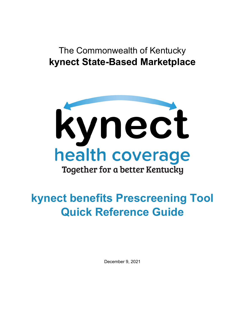# The Commonwealth of Kentucky **kynect State-Based Marketplace**



# **kynect benefits Prescreening Tool Quick Reference Guide**

December 9, 2021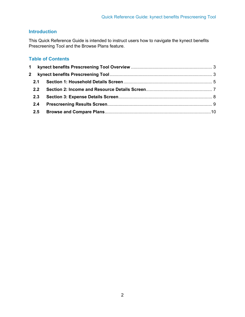# **Introduction**

This Quick Reference Guide is intended to instruct users how to navigate the kynect benefits Prescreening Tool and the Browse Plans feature.

# **Table of Contents**

| 2.1 |  |
|-----|--|
| 2.2 |  |
| 2.3 |  |
| 2.4 |  |
|     |  |
|     |  |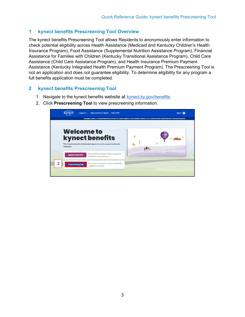# <span id="page-2-0"></span>**1 kynect benefits Prescreening Tool Overview**

The kynect benefits Prescreening Tool allows Residents to anonymously enter information to check potential eligibility across Health Assistance (Medicaid and Kentucky Children's Health Insurance Program), Food Assistance (Supplemental Nutrition Assistance Program), Financial Assistance for Families with Children (Kentucky Transitional Assistance Program), Child Care Assistance (Child Care Assistance Program), and Health Insurance Premium Payment Assistance (Kentucky Integrated Health Premium Payment Program). The Prescreening Tool is not an application and does not guarantee eligibility. To determine eligibility for any program a full benefits application must be completed.

## <span id="page-2-1"></span>**2 kynect benefits Prescreening Tool**

1. Navigate to the kynect benefits website at [kynect.ky.gov/benefits.](https://kynect.ky.gov/benefits/s/?language=en_US)



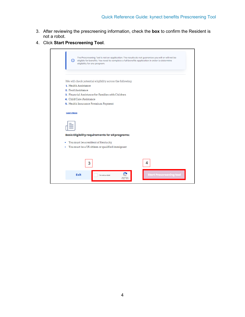- 3. After reviewing the prescreening information, check the **box** to confirm the Resident is not a robot.
- 4. Click **Start Prescreening Tool**.

| ⋒<br>eligible for benefits. You need to complete a full benefits application in order to determine<br>eligibility for any program. | The Prescreening Tool is not an application. The results do not guarantee you will or will not be |
|------------------------------------------------------------------------------------------------------------------------------------|---------------------------------------------------------------------------------------------------|
| We will check potential eligibility across the following:                                                                          |                                                                                                   |
| 1. Health Assistance                                                                                                               |                                                                                                   |
| 2. Food Assistance                                                                                                                 |                                                                                                   |
| 3. Financial Assistance for Families with Children<br>4. Child Care Assistance                                                     |                                                                                                   |
| 5. Health Insurance Premium Payment                                                                                                |                                                                                                   |
| <b>Basic Eligibility requirements for all programs:</b>                                                                            |                                                                                                   |
|                                                                                                                                    |                                                                                                   |
| • You must be a resident of Kentucky                                                                                               |                                                                                                   |
|                                                                                                                                    |                                                                                                   |
| • You must be a US citizen or qualified immigrant                                                                                  |                                                                                                   |
| 3                                                                                                                                  | 4                                                                                                 |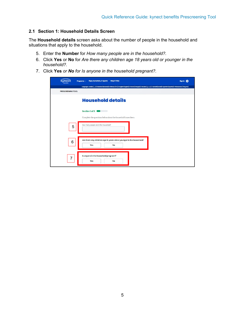#### <span id="page-4-0"></span>**2.1 Section 1: Household Details Screen**

The **Household details** screen asks about the number of people in the household and situations that apply to the household.

- 5. Enter the **Number** for *How many people are in the household?.*
- 6. Click **Yes** or **No** for *Are there any children age 18 years old or younger in the household?.*
- 7. Click **Yes** *or No for Is anyone in the household pregnant?.*

|                          | Languages: Arabio ((cy)   Bosnian (Bosanski)   Chinese (472)   English (English)   French (Français)   Russian (pocosii)   Somali (Somali)   Spanish (Español)   Vietnamese (Timg Vict) |  |
|--------------------------|-----------------------------------------------------------------------------------------------------------------------------------------------------------------------------------------|--|
| <b>PRESCREENING TOOL</b> |                                                                                                                                                                                         |  |
|                          | <b>Household details</b>                                                                                                                                                                |  |
|                          | Section 1 of 3                                                                                                                                                                          |  |
|                          | Complete the questions below about the household's members.                                                                                                                             |  |
| 5                        | How many people are in the household?                                                                                                                                                   |  |
|                          |                                                                                                                                                                                         |  |
|                          |                                                                                                                                                                                         |  |
| 6                        | Are there any children age 18 years old or younger in the household?<br>Yes<br><b>No</b>                                                                                                |  |
|                          |                                                                                                                                                                                         |  |
|                          | Is anyone in the household pregnant?                                                                                                                                                    |  |
| $\overline{7}$           | Yes<br><b>No</b>                                                                                                                                                                        |  |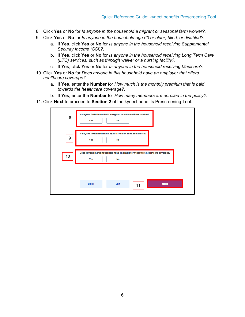- 8. Click **Yes** or **No** for *Is anyone in the household a migrant or seasonal farm worker?.*
- 9. Click **Yes** or **No** for *Is anyone in the household age 60 or older, blind, or disabled?.* 
	- a. If **Yes**, click **Yes** or **No** for *Is anyone in the household receiving Supplemental Security Income (SSI)?*.
	- b. If **Yes**, click **Yes** or **No** for *Is anyone in the household receiving Long Term Care (LTC) services, such as through waiver or a nursing facility?.*
	- c. If **Yes**, click **Yes** or **No** for *Is anyone in the household receiving Medicare?.*
- 10. Click **Yes** or **No** for *Does anyone in this household have an employer that offers healthcare coverage?.* 
	- a. If **Yes**, enter the **Number** for *How much is the monthly premium that is paid towards the healthcare coverage?.*
	- b. If **Yes**, enter the **Number** for *How many members are enrolled in the policy?.*
- 11. Click **Next** to proceed to **Section 2** of the kynect benefits Prescreening Tool.

| 8  | Is anyone in the household a migrant or seasonal farm worker?<br><b>Yes</b>            | <b>No</b> |    |             |  |
|----|----------------------------------------------------------------------------------------|-----------|----|-------------|--|
| 9  | Is anyone in the household age 60 or older, blind or disabled?<br>Yes                  | <b>No</b> |    |             |  |
| 10 | Does anyone in this household have an employer that offers healthcare coverage?<br>Yes | No        |    |             |  |
|    | <b>Back</b>                                                                            | Exit      | 11 | <b>Next</b> |  |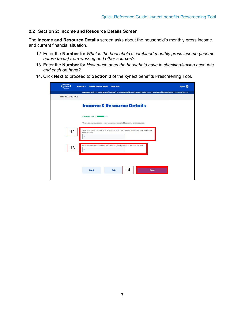#### <span id="page-6-0"></span>**2.2 Section 2: Income and Resource Details Screen**

The **Income and Resource Details** screen asks about the household's monthly gross income and current financial situation.

- 12. Enter the **Number** for *What is the household's combined monthly gross income (income before taxes) from working and other sources?.*
- 13. Enter the **Number** for *How much does the household have in checking/saving accounts and cash on hand?.*
- 14. Click **Next** to proceed to **Section 3** of the kynect benefits Prescreening Tool.

|                          | Languages: Arabio ((1, )   Bosnian (Bosanski)   Chinese (492)   English (English)   French (Français)   Russian (pecesi)   Somali (Somali)   Sparish (Español)   Vietnamese (Timg Vici) |  |
|--------------------------|-----------------------------------------------------------------------------------------------------------------------------------------------------------------------------------------|--|
| <b>PRESCREENING TOOL</b> |                                                                                                                                                                                         |  |
|                          | <b>Income &amp; Resource Details</b>                                                                                                                                                    |  |
|                          | Section 2 of 3<br>a sa na                                                                                                                                                               |  |
|                          |                                                                                                                                                                                         |  |
|                          | Complete the questions below about the household's income and resources.                                                                                                                |  |
| 12                       | What is the household's combined monthly gross income (income before taxes) from working and                                                                                            |  |
|                          | other sources?<br>s                                                                                                                                                                     |  |
|                          |                                                                                                                                                                                         |  |
|                          | How much does the household have in checking/saving accounts and cash on hand?                                                                                                          |  |
| 13                       | s                                                                                                                                                                                       |  |
|                          |                                                                                                                                                                                         |  |
|                          |                                                                                                                                                                                         |  |
|                          |                                                                                                                                                                                         |  |
|                          |                                                                                                                                                                                         |  |
|                          | 14<br>Exit<br><b>Back</b><br><b>Next</b>                                                                                                                                                |  |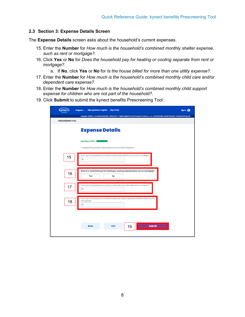#### <span id="page-7-0"></span>**2.3 Section 3: Expense Details Screen**

The **Expense Details** screen asks about the household's current expenses.

- 15. Enter the **Number** for *How much is the household's combined monthly shelter expense, such as rent or mortgage?.*
- 16. Click **Yes** or **No** for *Does the household pay for heating or cooling separate from rent or mortgage?.*
	- a. If **No**, click **Yes** or **No** for *Is the house billed for more than one utility expense?.*
- 17. Enter the **Number** for *How much is the household's combined monthly child care and/or dependent care expense?.*
- 18. Enter the **Number** for *How much is the household's combined monthly child support expense for children who are not part of the household?.*
- 19. Click **Submit** to submit the kynect benefits Prescreening Tool.

| Reps, kynectors, & Agents<br><b>Help &amp; FAQs</b><br>Programs v                                                                                                                                                     | Sign in @ |
|-----------------------------------------------------------------------------------------------------------------------------------------------------------------------------------------------------------------------|-----------|
| Languages: Arabio (دربر)   Bosnian (Bosanski)   Chinese (4x)   English (English)   French (Français)   Russian (syecessi)   Somail (Somail)   Spanish (Español)   Vietnamese (Tičng Vitt)<br><b>PRESCREENING TOOL</b> |           |
| <b>Expense Details</b>                                                                                                                                                                                                |           |
| Section 3 of 3 (<br>Complete the questions below about the household's expenses.                                                                                                                                      |           |
| How much is the household's combined monthly shelter expense, such as rent or mortgage?<br>15<br>\$                                                                                                                   |           |
| Does the household pay for heating or cooling separate from rent or mortgage?<br>16<br>Yes<br><b>No</b>                                                                                                               |           |
| How much is the household's combined monthly child care and/or dependent care expense?<br>17<br>Ś                                                                                                                     |           |
| How much is the household's combined monthly child support expense for children who are not part<br>of household?<br>18<br>Ŝ                                                                                          |           |
|                                                                                                                                                                                                                       |           |
| <b>Submit</b><br>Exit<br><b>Back</b><br>19                                                                                                                                                                            |           |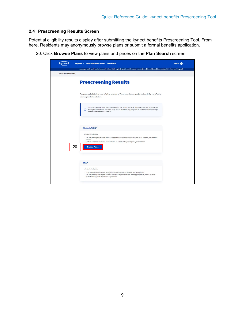#### <span id="page-8-0"></span>**2.4 Prescreening Results Screen**

Potential eligibility results display after submitting the kynect benefits Prescreening Tool. From here, Residents may anonymously browse plans or submit a formal benefits application.

20. Click **Browse Plans** to view plans and prices on the **Plan Search** screen.

|                          | Reps, kynectors, & Agents<br>Programs v                                | <b>Help &amp; FAQs</b>                                                                                                                                                                                      | Sign In @ |
|--------------------------|------------------------------------------------------------------------|-------------------------------------------------------------------------------------------------------------------------------------------------------------------------------------------------------------|-----------|
| <b>PRESCREENING TOOL</b> |                                                                        | Languages: Arable (الربر)   Bosnian (Bosanski)   Chinese (中文)   English (English)   French (Français)   Russian (gecssi)   Somali (Somali)   Spanish (Español)   Vietnamese (Tičng Vičt)                    |           |
|                          |                                                                        |                                                                                                                                                                                                             |           |
|                          | <b>Prescreening Results</b>                                            |                                                                                                                                                                                                             |           |
|                          | clicking the button below.                                             | See potential eligibility for the below programs. Take note of your results and apply for benefits by                                                                                                       |           |
|                          | once all information is collected.                                     | The Prescreening Tool is not an application. The results below do not guarantee you will or will not<br>(i) be eligible for benefits. We encourage you to apply for any program, as your results may change |           |
|                          | Medicaid/KCHIP                                                         |                                                                                                                                                                                                             |           |
|                          | · Potentially Eligible<br>income.                                      | . You may be eligible for time-limited Medicaid if you have medical expenses which exceed your monthly<br>. For Medicaid, an individual is considered to be elderly if they are age 65 years or older.      |           |
| 20                       | <b>Browse Plans</b>                                                    |                                                                                                                                                                                                             |           |
|                          | <b>SNAP</b>                                                            |                                                                                                                                                                                                             |           |
|                          | · Potentially Eligible<br>bodied adult (age 18-49) without dependents. | . To be eligible for SNAP, all adults age 18-59 must register for, look for, and accept work.<br>. You may be required to participate in the SNAP Employment and Training program if you are an able-       |           |
|                          |                                                                        |                                                                                                                                                                                                             |           |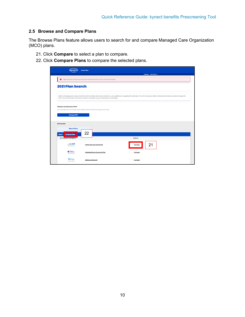## <span id="page-9-0"></span>**2.5 Browse and Compare Plans**

The Browse Plans feature allows users to search for and compare Managed Care Organization (MCO) plans.

- 21. Click **Compare** to select a plan to compare.
- 22. Click **Compare Plans** to compare the selected plans.

| kvnec                                                                                 | <b>Browse Plans</b>                                                                            |                |                                                                                                                                                                                                             |
|---------------------------------------------------------------------------------------|------------------------------------------------------------------------------------------------|----------------|-------------------------------------------------------------------------------------------------------------------------------------------------------------------------------------------------------------|
|                                                                                       |                                                                                                |                | Longuages: English (English) <                                                                                                                                                                              |
|                                                                                       | Eligible Medicaid members can choose from the below MCO plans. This is a preview of the plans. |                |                                                                                                                                                                                                             |
| <b>2021 Plan Search</b>                                                               |                                                                                                |                |                                                                                                                                                                                                             |
|                                                                                       | MCO. You want to make sure that your dector is available to you at the lowest cost possible.   |                | Before choosing a plan, please check the MCO's directory of providers (dectors, nurse practitioners, hospitals) for each plan. This is the most up to date list of providers that are available through the |
| <b>Primary Care Physician (PCP)</b>                                                   | You may also select a Primary Care Physician (PCP) while choosing an MCO plan.                 |                |                                                                                                                                                                                                             |
| <b>Choose PCP</b>                                                                     |                                                                                                |                |                                                                                                                                                                                                             |
| <b>Plan Results</b>                                                                   |                                                                                                |                |                                                                                                                                                                                                             |
| <b>Show Filters</b><br><b>Compare Plans</b><br><b>Export</b><br>(6) Insurance Company | 22                                                                                             | <b>Actions</b> |                                                                                                                                                                                                             |
| Authent 19<br>*****                                                                   | Anthem Blue Cross Blue Shield                                                                  | Compare        | 21                                                                                                                                                                                                          |
| Uniford<br>Houstheaver                                                                | UnitedHealthcare Community Plan                                                                | Compare        |                                                                                                                                                                                                             |
| <b>WWWICard</b><br>*****                                                              | <b>WellCare of Kentucky</b>                                                                    | Compare        |                                                                                                                                                                                                             |